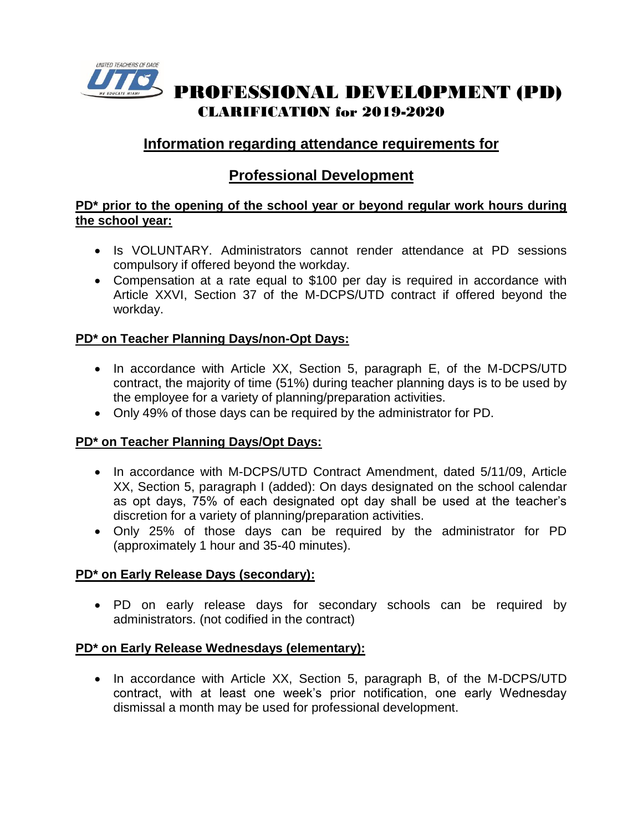

 PROFESSIONAL DEVELOPMENT (PD) CLARIFICATION for 2019-2020

# **Information regarding attendance requirements for**

## **Professional Development**

#### **PD\* prior to the opening of the school year or beyond regular work hours during the school year:**

- Is VOLUNTARY. Administrators cannot render attendance at PD sessions compulsory if offered beyond the workday.
- Compensation at a rate equal to \$100 per day is required in accordance with Article XXVI, Section 37 of the M-DCPS/UTD contract if offered beyond the workday.

### **PD\* on Teacher Planning Days/non-Opt Days:**

- In accordance with Article XX, Section 5, paragraph E, of the M-DCPS/UTD contract, the majority of time (51%) during teacher planning days is to be used by the employee for a variety of planning/preparation activities.
- Only 49% of those days can be required by the administrator for PD.

### **PD\* on Teacher Planning Days/Opt Days:**

- In accordance with M-DCPS/UTD Contract Amendment, dated 5/11/09, Article XX, Section 5, paragraph I (added): On days designated on the school calendar as opt days, 75% of each designated opt day shall be used at the teacher's discretion for a variety of planning/preparation activities.
- Only 25% of those days can be required by the administrator for PD (approximately 1 hour and 35-40 minutes).

### **PD\* on Early Release Days (secondary):**

• PD on early release days for secondary schools can be required by administrators. (not codified in the contract)

### **PD\* on Early Release Wednesdays (elementary):**

• In accordance with Article XX, Section 5, paragraph B, of the M-DCPS/UTD contract, with at least one week's prior notification, one early Wednesday dismissal a month may be used for professional development.